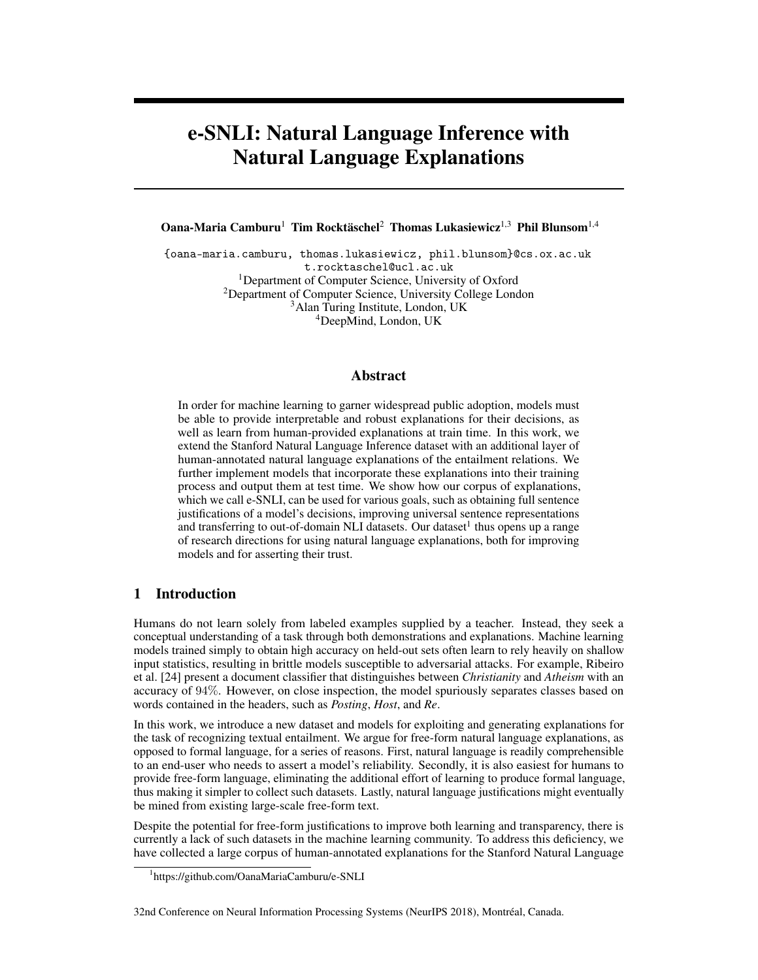# e-SNLI: Natural Language Inference with Natural Language Explanations

Oana-Maria Camburu<sup>1</sup> Tim Rocktäschel<sup>2</sup> Thomas Lukasiewicz<sup>1,3</sup> Phil Blunsom<sup>1,4</sup>

{oana-maria.camburu, thomas.lukasiewicz, phil.blunsom}@cs.ox.ac.uk t.rocktaschel@ucl.ac.uk <sup>1</sup>Department of Computer Science, University of Oxford <sup>2</sup>Department of Computer Science, University College London <sup>3</sup>Alan Turing Institute, London, UK <sup>4</sup>DeepMind, London, UK

## Abstract

In order for machine learning to garner widespread public adoption, models must be able to provide interpretable and robust explanations for their decisions, as well as learn from human-provided explanations at train time. In this work, we extend the Stanford Natural Language Inference dataset with an additional layer of human-annotated natural language explanations of the entailment relations. We further implement models that incorporate these explanations into their training process and output them at test time. We show how our corpus of explanations, which we call e-SNLI, can be used for various goals, such as obtaining full sentence justifications of a model's decisions, improving universal sentence representations and transferring to out-of-domain NLI datasets. Our dataset<sup>1</sup> thus opens up a range of research directions for using natural language explanations, both for improving models and for asserting their trust.

# 1 Introduction

Humans do not learn solely from labeled examples supplied by a teacher. Instead, they seek a conceptual understanding of a task through both demonstrations and explanations. Machine learning models trained simply to obtain high accuracy on held-out sets often learn to rely heavily on shallow input statistics, resulting in brittle models susceptible to adversarial attacks. For example, Ribeiro et al. [24] present a document classifier that distinguishes between *Christianity* and *Atheism* with an accuracy of 94%. However, on close inspection, the model spuriously separates classes based on words contained in the headers, such as *Posting*, *Host*, and *Re*.

In this work, we introduce a new dataset and models for exploiting and generating explanations for the task of recognizing textual entailment. We argue for free-form natural language explanations, as opposed to formal language, for a series of reasons. First, natural language is readily comprehensible to an end-user who needs to assert a model's reliability. Secondly, it is also easiest for humans to provide free-form language, eliminating the additional effort of learning to produce formal language, thus making it simpler to collect such datasets. Lastly, natural language justifications might eventually be mined from existing large-scale free-form text.

Despite the potential for free-form justifications to improve both learning and transparency, there is currently a lack of such datasets in the machine learning community. To address this deficiency, we have collected a large corpus of human-annotated explanations for the Stanford Natural Language

<sup>1</sup> https://github.com/OanaMariaCamburu/e-SNLI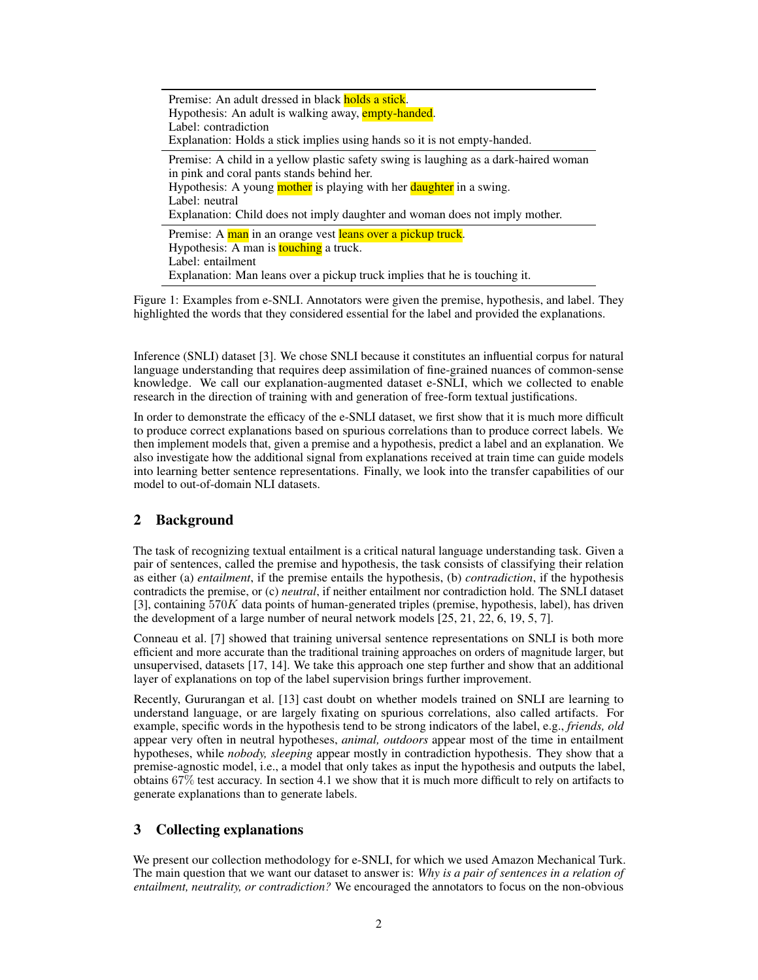Premise: An adult dressed in black holds a stick. Hypothesis: An adult is walking away, empty-handed. Label: contradiction Explanation: Holds a stick implies using hands so it is not empty-handed. Premise: A child in a yellow plastic safety swing is laughing as a dark-haired woman in pink and coral pants stands behind her. Hypothesis: A young mother is playing with her daughter in a swing. Label: neutral Explanation: Child does not imply daughter and woman does not imply mother. Premise: A man in an orange vest leans over a pickup truck. Hypothesis: A man is **touching** a truck. Label: entailment Explanation: Man leans over a pickup truck implies that he is touching it.

Figure 1: Examples from e-SNLI. Annotators were given the premise, hypothesis, and label. They highlighted the words that they considered essential for the label and provided the explanations.

Inference (SNLI) dataset [3]. We chose SNLI because it constitutes an influential corpus for natural language understanding that requires deep assimilation of fine-grained nuances of common-sense knowledge. We call our explanation-augmented dataset e-SNLI, which we collected to enable research in the direction of training with and generation of free-form textual justifications.

In order to demonstrate the efficacy of the e-SNLI dataset, we first show that it is much more difficult to produce correct explanations based on spurious correlations than to produce correct labels. We then implement models that, given a premise and a hypothesis, predict a label and an explanation. We also investigate how the additional signal from explanations received at train time can guide models into learning better sentence representations. Finally, we look into the transfer capabilities of our model to out-of-domain NLI datasets.

# 2 Background

The task of recognizing textual entailment is a critical natural language understanding task. Given a pair of sentences, called the premise and hypothesis, the task consists of classifying their relation as either (a) *entailment*, if the premise entails the hypothesis, (b) *contradiction*, if the hypothesis contradicts the premise, or (c) *neutral*, if neither entailment nor contradiction hold. The SNLI dataset [3], containing  $570K$  data points of human-generated triples (premise, hypothesis, label), has driven the development of a large number of neural network models [25, 21, 22, 6, 19, 5, 7].

Conneau et al. [7] showed that training universal sentence representations on SNLI is both more efficient and more accurate than the traditional training approaches on orders of magnitude larger, but unsupervised, datasets [17, 14]. We take this approach one step further and show that an additional layer of explanations on top of the label supervision brings further improvement.

Recently, Gururangan et al. [13] cast doubt on whether models trained on SNLI are learning to understand language, or are largely fixating on spurious correlations, also called artifacts. For example, specific words in the hypothesis tend to be strong indicators of the label, e.g., *friends, old* appear very often in neutral hypotheses, *animal, outdoors* appear most of the time in entailment hypotheses, while *nobody, sleeping* appear mostly in contradiction hypothesis. They show that a premise-agnostic model, i.e., a model that only takes as input the hypothesis and outputs the label, obtains 67% test accuracy. In section 4.1 we show that it is much more difficult to rely on artifacts to generate explanations than to generate labels.

# 3 Collecting explanations

We present our collection methodology for e-SNLI, for which we used Amazon Mechanical Turk. The main question that we want our dataset to answer is: *Why is a pair of sentences in a relation of entailment, neutrality, or contradiction?* We encouraged the annotators to focus on the non-obvious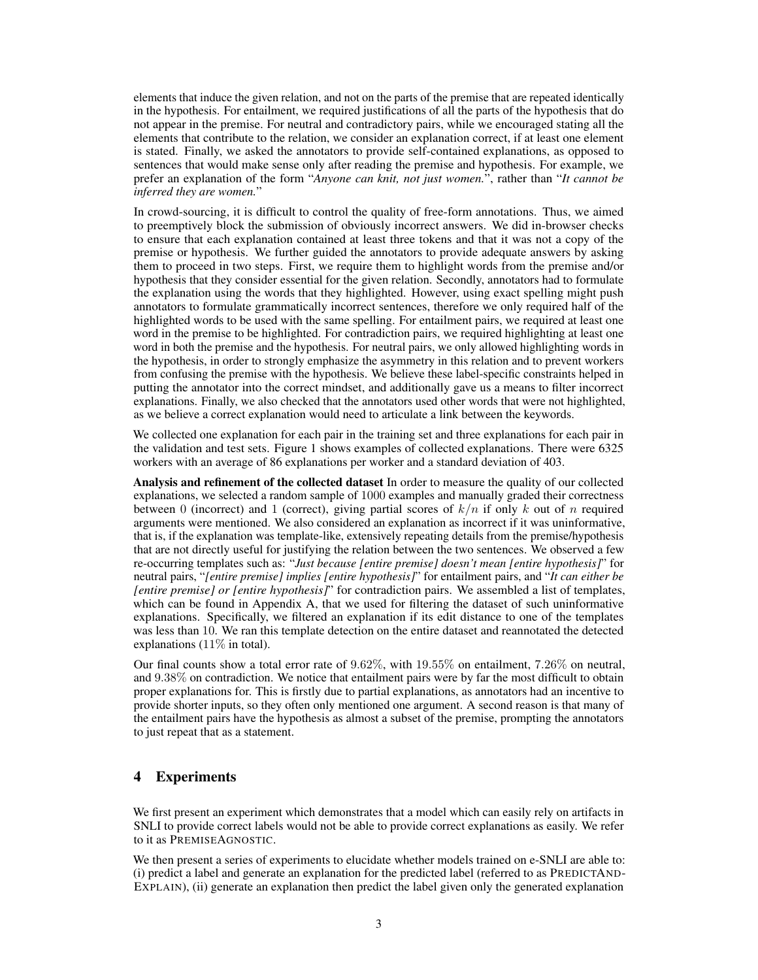elements that induce the given relation, and not on the parts of the premise that are repeated identically in the hypothesis. For entailment, we required justifications of all the parts of the hypothesis that do not appear in the premise. For neutral and contradictory pairs, while we encouraged stating all the elements that contribute to the relation, we consider an explanation correct, if at least one element is stated. Finally, we asked the annotators to provide self-contained explanations, as opposed to sentences that would make sense only after reading the premise and hypothesis. For example, we prefer an explanation of the form "*Anyone can knit, not just women.*", rather than "*It cannot be inferred they are women.*"

In crowd-sourcing, it is difficult to control the quality of free-form annotations. Thus, we aimed to preemptively block the submission of obviously incorrect answers. We did in-browser checks to ensure that each explanation contained at least three tokens and that it was not a copy of the premise or hypothesis. We further guided the annotators to provide adequate answers by asking them to proceed in two steps. First, we require them to highlight words from the premise and/or hypothesis that they consider essential for the given relation. Secondly, annotators had to formulate the explanation using the words that they highlighted. However, using exact spelling might push annotators to formulate grammatically incorrect sentences, therefore we only required half of the highlighted words to be used with the same spelling. For entailment pairs, we required at least one word in the premise to be highlighted. For contradiction pairs, we required highlighting at least one word in both the premise and the hypothesis. For neutral pairs, we only allowed highlighting words in the hypothesis, in order to strongly emphasize the asymmetry in this relation and to prevent workers from confusing the premise with the hypothesis. We believe these label-specific constraints helped in putting the annotator into the correct mindset, and additionally gave us a means to filter incorrect explanations. Finally, we also checked that the annotators used other words that were not highlighted, as we believe a correct explanation would need to articulate a link between the keywords.

We collected one explanation for each pair in the training set and three explanations for each pair in the validation and test sets. Figure 1 shows examples of collected explanations. There were 6325 workers with an average of 86 explanations per worker and a standard deviation of 403.

Analysis and refinement of the collected dataset In order to measure the quality of our collected explanations, we selected a random sample of 1000 examples and manually graded their correctness between 0 (incorrect) and 1 (correct), giving partial scores of  $k/n$  if only k out of n required arguments were mentioned. We also considered an explanation as incorrect if it was uninformative, that is, if the explanation was template-like, extensively repeating details from the premise/hypothesis that are not directly useful for justifying the relation between the two sentences. We observed a few re-occurring templates such as: "*Just because [entire premise] doesn't mean [entire hypothesis]*" for neutral pairs, "*[entire premise] implies [entire hypothesis]*" for entailment pairs, and "*It can either be [entire premise] or [entire hypothesis]*" for contradiction pairs. We assembled a list of templates, which can be found in Appendix A, that we used for filtering the dataset of such uninformative explanations. Specifically, we filtered an explanation if its edit distance to one of the templates was less than 10. We ran this template detection on the entire dataset and reannotated the detected explanations  $(11\% \text{ in total}).$ 

Our final counts show a total error rate of 9.62%, with 19.55% on entailment, 7.26% on neutral, and 9.38% on contradiction. We notice that entailment pairs were by far the most difficult to obtain proper explanations for. This is firstly due to partial explanations, as annotators had an incentive to provide shorter inputs, so they often only mentioned one argument. A second reason is that many of the entailment pairs have the hypothesis as almost a subset of the premise, prompting the annotators to just repeat that as a statement.

# 4 Experiments

We first present an experiment which demonstrates that a model which can easily rely on artifacts in SNLI to provide correct labels would not be able to provide correct explanations as easily. We refer to it as PREMISEAGNOSTIC.

We then present a series of experiments to elucidate whether models trained on e-SNLI are able to: (i) predict a label and generate an explanation for the predicted label (referred to as PREDICTAND-EXPLAIN), (ii) generate an explanation then predict the label given only the generated explanation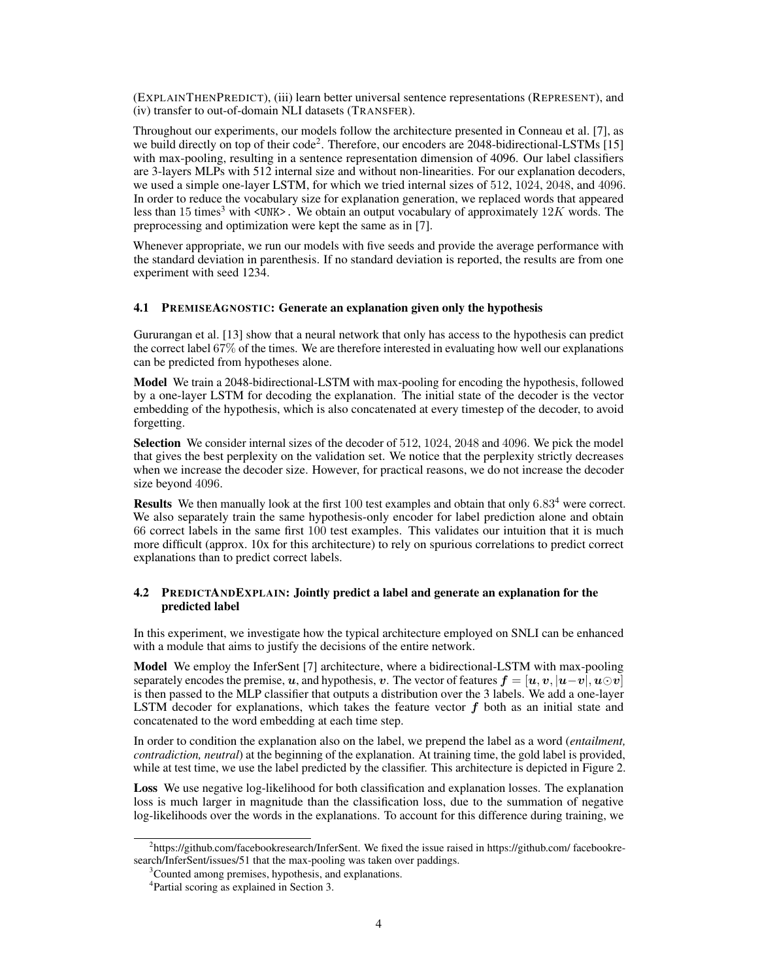(EXPLAINTHENPREDICT), (iii) learn better universal sentence representations (REPRESENT), and (iv) transfer to out-of-domain NLI datasets (TRANSFER).

Throughout our experiments, our models follow the architecture presented in Conneau et al. [7], as we build directly on top of their code<sup>2</sup>. Therefore, our encoders are 2048-bidirectional-LSTMs [15] with max-pooling, resulting in a sentence representation dimension of 4096. Our label classifiers are 3-layers MLPs with 512 internal size and without non-linearities. For our explanation decoders, we used a simple one-layer LSTM, for which we tried internal sizes of 512, 1024, 2048, and 4096. In order to reduce the vocabulary size for explanation generation, we replaced words that appeared less than 15 times<sup>3</sup> with <UNK>. We obtain an output vocabulary of approximately  $12K$  words. The preprocessing and optimization were kept the same as in [7].

Whenever appropriate, we run our models with five seeds and provide the average performance with the standard deviation in parenthesis. If no standard deviation is reported, the results are from one experiment with seed 1234.

### 4.1 PREMISEAGNOSTIC: Generate an explanation given only the hypothesis

Gururangan et al. [13] show that a neural network that only has access to the hypothesis can predict the correct label 67% of the times. We are therefore interested in evaluating how well our explanations can be predicted from hypotheses alone.

Model We train a 2048-bidirectional-LSTM with max-pooling for encoding the hypothesis, followed by a one-layer LSTM for decoding the explanation. The initial state of the decoder is the vector embedding of the hypothesis, which is also concatenated at every timestep of the decoder, to avoid forgetting.

Selection We consider internal sizes of the decoder of 512, 1024, 2048 and 4096. We pick the model that gives the best perplexity on the validation set. We notice that the perplexity strictly decreases when we increase the decoder size. However, for practical reasons, we do not increase the decoder size beyond 4096.

**Results** We then manually look at the first 100 test examples and obtain that only  $6.83<sup>4</sup>$  were correct. We also separately train the same hypothesis-only encoder for label prediction alone and obtain 66 correct labels in the same first 100 test examples. This validates our intuition that it is much more difficult (approx. 10x for this architecture) to rely on spurious correlations to predict correct explanations than to predict correct labels.

## 4.2 PREDICTANDEXPLAIN: Jointly predict a label and generate an explanation for the predicted label

In this experiment, we investigate how the typical architecture employed on SNLI can be enhanced with a module that aims to justify the decisions of the entire network.

Model We employ the InferSent [7] architecture, where a bidirectional-LSTM with max-pooling separately encodes the premise, u, and hypothesis, v. The vector of features  $f = [u, v, |u-v], u\odot v]$ is then passed to the MLP classifier that outputs a distribution over the 3 labels. We add a one-layer LSTM decoder for explanations, which takes the feature vector  $f$  both as an initial state and concatenated to the word embedding at each time step.

In order to condition the explanation also on the label, we prepend the label as a word (*entailment, contradiction, neutral*) at the beginning of the explanation. At training time, the gold label is provided, while at test time, we use the label predicted by the classifier. This architecture is depicted in Figure 2.

Loss We use negative log-likelihood for both classification and explanation losses. The explanation loss is much larger in magnitude than the classification loss, due to the summation of negative log-likelihoods over the words in the explanations. To account for this difference during training, we

<sup>&</sup>lt;sup>2</sup>https://github.com/facebookresearch/InferSent. We fixed the issue raised in https://github.com/ facebookresearch/InferSent/issues/51 that the max-pooling was taken over paddings.

<sup>&</sup>lt;sup>3</sup>Counted among premises, hypothesis, and explanations.

<sup>4</sup> Partial scoring as explained in Section 3.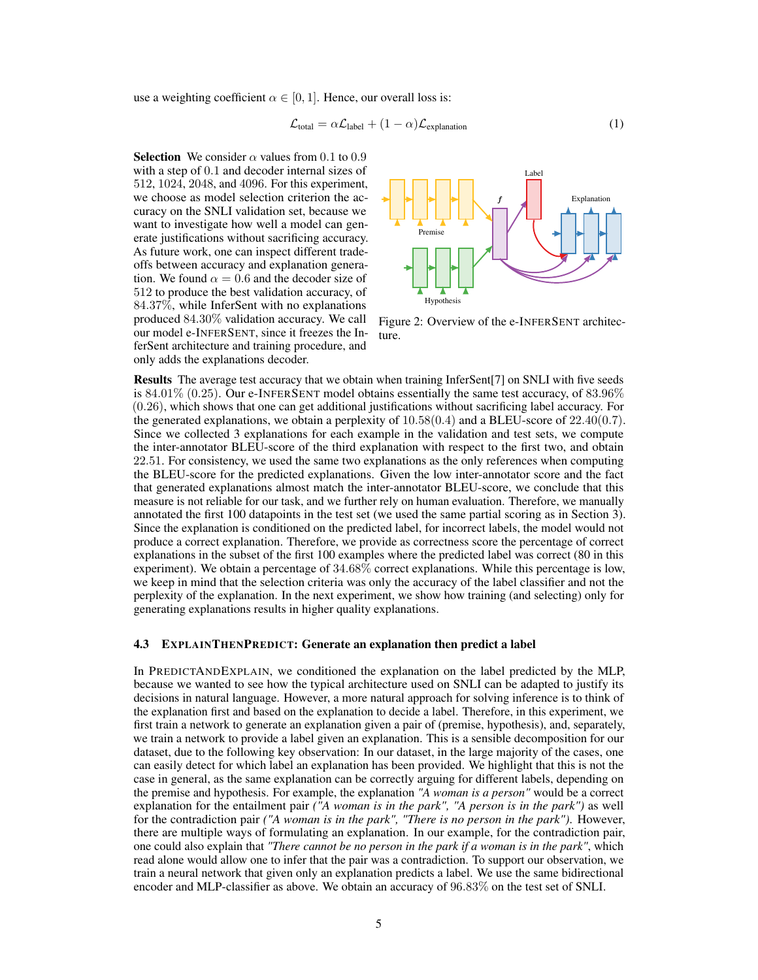use a weighting coefficient  $\alpha \in [0, 1]$ . Hence, our overall loss is:

$$
\mathcal{L}_{\text{total}} = \alpha \mathcal{L}_{\text{label}} + (1 - \alpha) \mathcal{L}_{\text{explanation}} \tag{1}
$$

**Selection** We consider  $\alpha$  values from 0.1 to 0.9 with a step of 0.1 and decoder internal sizes of 512, 1024, 2048, and 4096. For this experiment, we choose as model selection criterion the accuracy on the SNLI validation set, because we want to investigate how well a model can generate justifications without sacrificing accuracy. As future work, one can inspect different tradeoffs between accuracy and explanation generation. We found  $\alpha = 0.6$  and the decoder size of 512 to produce the best validation accuracy, of 84.37%, while InferSent with no explanations produced 84.30% validation accuracy. We call our model e-INFERSENT, since it freezes the InferSent architecture and training procedure, and only adds the explanations decoder.



Figure 2: Overview of the e-INFERSENT architecture.

Results The average test accuracy that we obtain when training InferSent[7] on SNLI with five seeds is 84.01% (0.25). Our e-INFERSENT model obtains essentially the same test accuracy, of 83.96% (0.26), which shows that one can get additional justifications without sacrificing label accuracy. For the generated explanations, we obtain a perplexity of  $10.58(0.4)$  and a BLEU-score of  $22.40(0.7)$ . Since we collected 3 explanations for each example in the validation and test sets, we compute the inter-annotator BLEU-score of the third explanation with respect to the first two, and obtain 22.51. For consistency, we used the same two explanations as the only references when computing the BLEU-score for the predicted explanations. Given the low inter-annotator score and the fact that generated explanations almost match the inter-annotator BLEU-score, we conclude that this measure is not reliable for our task, and we further rely on human evaluation. Therefore, we manually annotated the first 100 datapoints in the test set (we used the same partial scoring as in Section 3). Since the explanation is conditioned on the predicted label, for incorrect labels, the model would not produce a correct explanation. Therefore, we provide as correctness score the percentage of correct explanations in the subset of the first 100 examples where the predicted label was correct (80 in this experiment). We obtain a percentage of 34.68% correct explanations. While this percentage is low, we keep in mind that the selection criteria was only the accuracy of the label classifier and not the perplexity of the explanation. In the next experiment, we show how training (and selecting) only for generating explanations results in higher quality explanations.

#### 4.3 EXPLAINTHENPREDICT: Generate an explanation then predict a label

In PREDICTANDEXPLAIN, we conditioned the explanation on the label predicted by the MLP, because we wanted to see how the typical architecture used on SNLI can be adapted to justify its decisions in natural language. However, a more natural approach for solving inference is to think of the explanation first and based on the explanation to decide a label. Therefore, in this experiment, we first train a network to generate an explanation given a pair of (premise, hypothesis), and, separately, we train a network to provide a label given an explanation. This is a sensible decomposition for our dataset, due to the following key observation: In our dataset, in the large majority of the cases, one can easily detect for which label an explanation has been provided. We highlight that this is not the case in general, as the same explanation can be correctly arguing for different labels, depending on the premise and hypothesis. For example, the explanation *"A woman is a person"* would be a correct explanation for the entailment pair *("A woman is in the park", "A person is in the park")* as well for the contradiction pair *("A woman is in the park", "There is no person in the park")*. However, there are multiple ways of formulating an explanation. In our example, for the contradiction pair, one could also explain that *"There cannot be no person in the park if a woman is in the park"*, which read alone would allow one to infer that the pair was a contradiction. To support our observation, we train a neural network that given only an explanation predicts a label. We use the same bidirectional encoder and MLP-classifier as above. We obtain an accuracy of 96.83% on the test set of SNLI.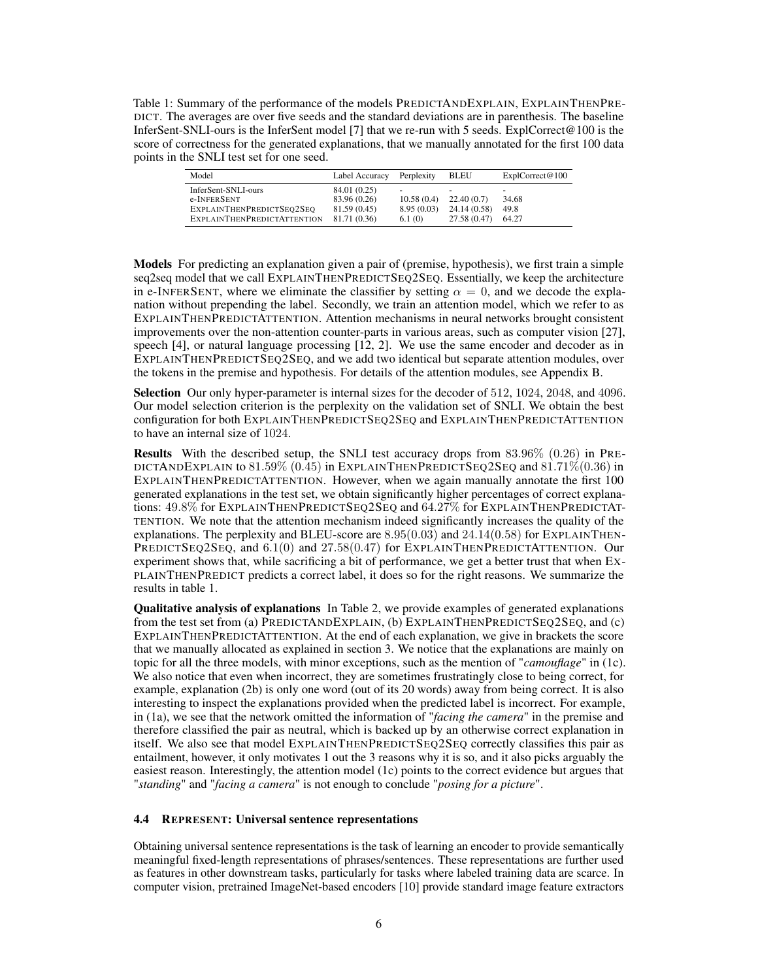Table 1: Summary of the performance of the models PREDICTANDEXPLAIN, EXPLAINTHENPRE-DICT. The averages are over five seeds and the standard deviations are in parenthesis. The baseline InferSent-SNLI-ours is the InferSent model [7] that we re-run with 5 seeds. ExplCorrect@100 is the score of correctness for the generated explanations, that we manually annotated for the first 100 data points in the SNLI test set for one seed.

| Model                              | Label Accuracy | Perplexity | <b>BLEU</b>  | ExplCorrect@100 |
|------------------------------------|----------------|------------|--------------|-----------------|
| InferSent-SNLI-ours                | 84.01 (0.25)   | -          | -            | -               |
| e-INFERSENT                        | 83.96 (0.26)   | 10.58(0.4) | 22.40(0.7)   | 34.68           |
| EXPLAINTHENPREDICTSEO2SEO          | 81.59 (0.45)   | 8.95(0.03) | 24.14 (0.58) | 49.8            |
| <b>EXPLAINTHENPREDICTATTENTION</b> | 81.71 (0.36)   | 6.1(0)     | 27.58 (0.47) | 64.27           |

Models For predicting an explanation given a pair of (premise, hypothesis), we first train a simple seq2seq model that we call EXPLAINTHENPREDICTSEQ2SEQ. Essentially, we keep the architecture in e-INFERSENT, where we eliminate the classifier by setting  $\alpha = 0$ , and we decode the explanation without prepending the label. Secondly, we train an attention model, which we refer to as EXPLAINTHENPREDICTATTENTION. Attention mechanisms in neural networks brought consistent improvements over the non-attention counter-parts in various areas, such as computer vision [27], speech [4], or natural language processing [12, 2]. We use the same encoder and decoder as in EXPLAINTHENPREDICTSEQ2SEQ, and we add two identical but separate attention modules, over the tokens in the premise and hypothesis. For details of the attention modules, see Appendix B.

Selection Our only hyper-parameter is internal sizes for the decoder of 512, 1024, 2048, and 4096. Our model selection criterion is the perplexity on the validation set of SNLI. We obtain the best configuration for both EXPLAINTHENPREDICTSEQ2SEQ and EXPLAINTHENPREDICTATTENTION to have an internal size of 1024.

Results With the described setup, the SNLI test accuracy drops from 83.96% (0.26) in PRE-DICTANDEXPLAIN to  $81.59\%$  (0.45) in EXPLAINTHENPREDICTSEQ2SEQ and  $81.71\%$  (0.36) in EXPLAINTHENPREDICTATTENTION. However, when we again manually annotate the first 100 generated explanations in the test set, we obtain significantly higher percentages of correct explanations: 49.8% for EXPLAINTHENPREDICTSEQ2SEQ and 64.27% for EXPLAINTHENPREDICTAT-TENTION. We note that the attention mechanism indeed significantly increases the quality of the explanations. The perplexity and BLEU-score are  $8.95(0.03)$  and  $24.14(0.58)$  for EXPLAINTHEN-PREDICTSEQ2SEQ, and 6.1(0) and 27.58(0.47) for EXPLAINTHENPREDICTATTENTION. Our experiment shows that, while sacrificing a bit of performance, we get a better trust that when EX-PLAINTHENPREDICT predicts a correct label, it does so for the right reasons. We summarize the results in table 1.

Qualitative analysis of explanations In Table 2, we provide examples of generated explanations from the test set from (a) PREDICTANDEXPLAIN, (b) EXPLAINTHENPREDICTSEQ2SEQ, and (c) EXPLAINTHENPREDICTATTENTION. At the end of each explanation, we give in brackets the score that we manually allocated as explained in section 3. We notice that the explanations are mainly on topic for all the three models, with minor exceptions, such as the mention of "*camouflage*" in (1c). We also notice that even when incorrect, they are sometimes frustratingly close to being correct, for example, explanation (2b) is only one word (out of its 20 words) away from being correct. It is also interesting to inspect the explanations provided when the predicted label is incorrect. For example, in (1a), we see that the network omitted the information of "*facing the camera*" in the premise and therefore classified the pair as neutral, which is backed up by an otherwise correct explanation in itself. We also see that model EXPLAINTHENPREDICTSEQ2SEQ correctly classifies this pair as entailment, however, it only motivates 1 out the 3 reasons why it is so, and it also picks arguably the easiest reason. Interestingly, the attention model (1c) points to the correct evidence but argues that "*standing*" and "*facing a camera*" is not enough to conclude "*posing for a picture*".

#### 4.4 REPRESENT: Universal sentence representations

Obtaining universal sentence representations is the task of learning an encoder to provide semantically meaningful fixed-length representations of phrases/sentences. These representations are further used as features in other downstream tasks, particularly for tasks where labeled training data are scarce. In computer vision, pretrained ImageNet-based encoders [10] provide standard image feature extractors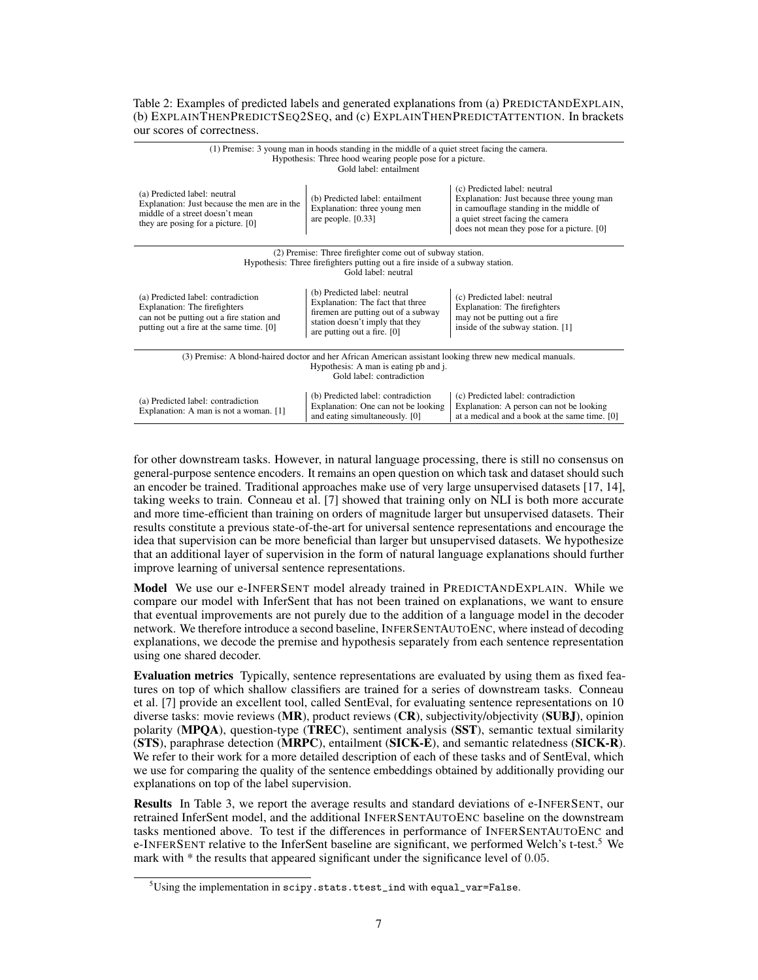### Table 2: Examples of predicted labels and generated explanations from (a) PREDICTANDEXPLAIN, (b) EXPLAINTHENPREDICTSEQ2SEQ, and (c) EXPLAINTHENPREDICTATTENTION. In brackets our scores of correctness.

| (1) Premise: 3 young man in hoods standing in the middle of a quiet street facing the camera.<br>Hypothesis: Three hood wearing people pose for a picture.<br>Gold label: entailment |                                                                                                                                                                           |                                                                                                                                                                                                        |  |  |  |
|--------------------------------------------------------------------------------------------------------------------------------------------------------------------------------------|---------------------------------------------------------------------------------------------------------------------------------------------------------------------------|--------------------------------------------------------------------------------------------------------------------------------------------------------------------------------------------------------|--|--|--|
| (a) Predicted label: neutral<br>Explanation: Just because the men are in the<br>middle of a street doesn't mean<br>they are posing for a picture. [0]                                | (b) Predicted label: entailment<br>Explanation: three young men<br>are people. $[0.33]$                                                                                   | (c) Predicted label: neutral<br>Explanation: Just because three young man<br>in camouflage standing in the middle of<br>a quiet street facing the camera<br>does not mean they pose for a picture. [0] |  |  |  |
|                                                                                                                                                                                      | (2) Premise: Three firefighter come out of subway station.<br>Hypothesis: Three firefighters putting out a fire inside of a subway station.                               |                                                                                                                                                                                                        |  |  |  |
| Gold label: neutral                                                                                                                                                                  |                                                                                                                                                                           |                                                                                                                                                                                                        |  |  |  |
| (a) Predicted label: contradiction<br>Explanation: The firefighters<br>can not be putting out a fire station and<br>putting out a fire at the same time. [0]                         | (b) Predicted label: neutral<br>Explanation: The fact that three<br>firemen are putting out of a subway<br>station doesn't imply that they<br>are putting out a fire. [0] | (c) Predicted label: neutral<br>Explanation: The firefighters<br>may not be putting out a fire<br>inside of the subway station. [1]                                                                    |  |  |  |
| (3) Premise: A blond-haired doctor and her African American assistant looking threw new medical manuals.<br>Hypothesis: A man is eating pb and j.                                    |                                                                                                                                                                           |                                                                                                                                                                                                        |  |  |  |
| Gold label: contradiction                                                                                                                                                            |                                                                                                                                                                           |                                                                                                                                                                                                        |  |  |  |
| (a) Predicted label: contradiction<br>Explanation: A man is not a woman. [1]                                                                                                         | (b) Predicted label: contradiction<br>Explanation: One can not be looking<br>and eating simultaneously. [0]                                                               | (c) Predicted label: contradiction<br>Explanation: A person can not be looking<br>at a medical and a book at the same time. [0]                                                                        |  |  |  |

for other downstream tasks. However, in natural language processing, there is still no consensus on general-purpose sentence encoders. It remains an open question on which task and dataset should such an encoder be trained. Traditional approaches make use of very large unsupervised datasets [17, 14], taking weeks to train. Conneau et al. [7] showed that training only on NLI is both more accurate and more time-efficient than training on orders of magnitude larger but unsupervised datasets. Their results constitute a previous state-of-the-art for universal sentence representations and encourage the idea that supervision can be more beneficial than larger but unsupervised datasets. We hypothesize that an additional layer of supervision in the form of natural language explanations should further improve learning of universal sentence representations.

Model We use our e-INFERSENT model already trained in PREDICTANDEXPLAIN. While we compare our model with InferSent that has not been trained on explanations, we want to ensure that eventual improvements are not purely due to the addition of a language model in the decoder network. We therefore introduce a second baseline, INFERSENTAUTOENC, where instead of decoding explanations, we decode the premise and hypothesis separately from each sentence representation using one shared decoder.

Evaluation metrics Typically, sentence representations are evaluated by using them as fixed features on top of which shallow classifiers are trained for a series of downstream tasks. Conneau et al. [7] provide an excellent tool, called SentEval, for evaluating sentence representations on 10 diverse tasks: movie reviews (MR), product reviews (CR), subjectivity/objectivity (SUBJ), opinion polarity (MPQA), question-type (TREC), sentiment analysis (SST), semantic textual similarity (STS), paraphrase detection (MRPC), entailment (SICK-E), and semantic relatedness (SICK-R). We refer to their work for a more detailed description of each of these tasks and of SentEval, which we use for comparing the quality of the sentence embeddings obtained by additionally providing our explanations on top of the label supervision.

Results In Table 3, we report the average results and standard deviations of e-INFERSENT, our retrained InferSent model, and the additional INFERSENTAUTOENC baseline on the downstream tasks mentioned above. To test if the differences in performance of INFERSENTAUTOENC and e-INFERSENT relative to the InferSent baseline are significant, we performed Welch's t-test.<sup>5</sup> We mark with \* the results that appeared significant under the significance level of 0.05.

 $5U\sin g$  the implementation in scipy.stats.ttest\_ind with equal\_var=False.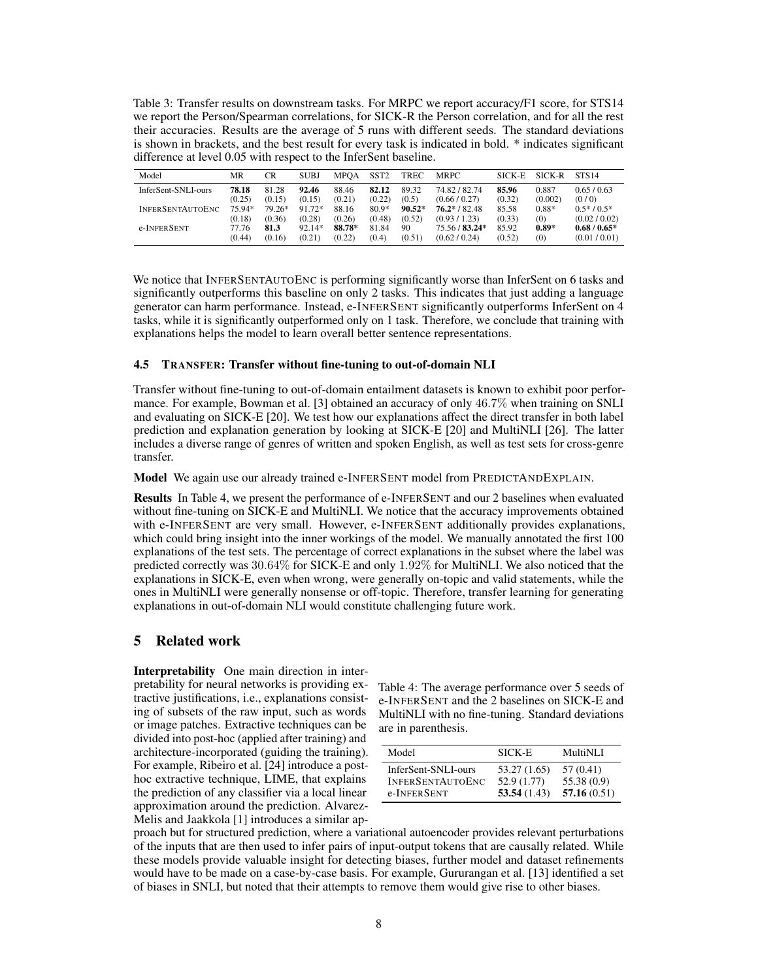Table 3: Transfer results on downstream tasks. For MRPC we report accuracy/F1 score, for STS14 we report the Person/Spearman correlations, for SICK-R the Person correlation, and for all the rest their accuracies. Results are the average of 5 runs with different seeds. The standard deviations is shown in brackets, and the best result for every task is indicated in bold. \* indicates significant difference at level 0.05 with respect to the InferSent baseline.

| Model                   | MR     | <b>CR</b> | <b>SUBJ</b> | <b>MPOA</b> | SST <sub>2</sub> | <b>TREC</b> | <b>MRPC</b>     | <b>SICK-E</b> | SICK-R  | <b>STS14</b>    |
|-------------------------|--------|-----------|-------------|-------------|------------------|-------------|-----------------|---------------|---------|-----------------|
| InferSent-SNLI-ours     | 78.18  | 81.28     | 92.46       | 88.46       | 82.12            | 89.32       | 74.82/82.74     | 85.96         | 0.887   | 0.65/0.63       |
|                         | (0.25) | (0.15)    | (0.15)      | (0.21)      | (0.22)           | (0.5)       | (0.66/0.27)     | (0.32)        | (0.002) | (0/0)           |
| <b>INFERSENTAUTOENC</b> | 75.94* | 79.26*    | 91.72*      | 88.16       | $80.9*$          | $90.52*$    | $76.2* / 82.48$ | 85.58         | $0.88*$ | $0.5*$ / $0.5*$ |
|                         | (0.18) | (0.36)    | (0.28)      | (0.26)      | (0.48)           | (0.52)      | (0.93/1.23)     | (0.33)        | (0)     | (0.02 / 0.02)   |
| e-INFERSENT             | 77.76  | 81.3      | $92.14*$    | 88.78*      | 81.84            | 90          | 75.56 / 83.24*  | 85.92         | $0.89*$ | $0.68/0.65*$    |
|                         | (0.44) | (0.16)    | (0.21)      | (0.22)      | (0.4)            | (0.51)      | (0.62 / 0.24)   | (0.52)        | (0)     | (0.01 / 0.01)   |

We notice that INFERSENTAUTOENC is performing significantly worse than InferSent on 6 tasks and significantly outperforms this baseline on only 2 tasks. This indicates that just adding a language generator can harm performance. Instead, e-INFERSENT significantly outperforms InferSent on 4 tasks, while it is significantly outperformed only on 1 task. Therefore, we conclude that training with explanations helps the model to learn overall better sentence representations.

#### 4.5 TRANSFER: Transfer without fine-tuning to out-of-domain NLI

Transfer without fine-tuning to out-of-domain entailment datasets is known to exhibit poor performance. For example, Bowman et al. [3] obtained an accuracy of only 46.7% when training on SNLI and evaluating on SICK-E [20]. We test how our explanations affect the direct transfer in both label prediction and explanation generation by looking at SICK-E [20] and MultiNLI [26]. The latter includes a diverse range of genres of written and spoken English, as well as test sets for cross-genre transfer.

Model We again use our already trained e-INFERSENT model from PREDICTANDEXPLAIN.

Results In Table 4, we present the performance of e-INFERSENT and our 2 baselines when evaluated without fine-tuning on SICK-E and MultiNLI. We notice that the accuracy improvements obtained with e-INFERSENT are very small. However, e-INFERSENT additionally provides explanations, which could bring insight into the inner workings of the model. We manually annotated the first 100 explanations of the test sets. The percentage of correct explanations in the subset where the label was predicted correctly was 30.64% for SICK-E and only 1.92% for MultiNLI. We also noticed that the explanations in SICK-E, even when wrong, were generally on-topic and valid statements, while the ones in MultiNLI were generally nonsense or off-topic. Therefore, transfer learning for generating explanations in out-of-domain NLI would constitute challenging future work.

# 5 Related work

Interpretability One main direction in interpretability for neural networks is providing extractive justifications, i.e., explanations consisting of subsets of the raw input, such as words or image patches. Extractive techniques can be divided into post-hoc (applied after training) and architecture-incorporated (guiding the training). For example, Ribeiro et al. [24] introduce a posthoc extractive technique, LIME, that explains the prediction of any classifier via a local linear approximation around the prediction. Alvarez-Melis and Jaakkola [1] introduces a similar ap-

| Table 4: The average performance over 5 seeds of  |
|---------------------------------------------------|
| e-INFERSENT and the 2 baselines on SICK-E and     |
| MultiNLI with no fine-tuning. Standard deviations |
| are in parenthesis.                               |

| Model                   | SICK-E       | MultiNLI    |
|-------------------------|--------------|-------------|
| InferSent-SNLI-ours     | 53.27 (1.65) | 57 (0.41)   |
| <b>INFERSENTAUTOENC</b> | 52.9 (1.77)  | 55.38 (0.9) |
| e-INFERSENT             | 53.54(1.43)  | 57.16(0.51) |

proach but for structured prediction, where a variational autoencoder provides relevant perturbations of the inputs that are then used to infer pairs of input-output tokens that are causally related. While these models provide valuable insight for detecting biases, further model and dataset refinements would have to be made on a case-by-case basis. For example, Gururangan et al. [13] identified a set of biases in SNLI, but noted that their attempts to remove them would give rise to other biases.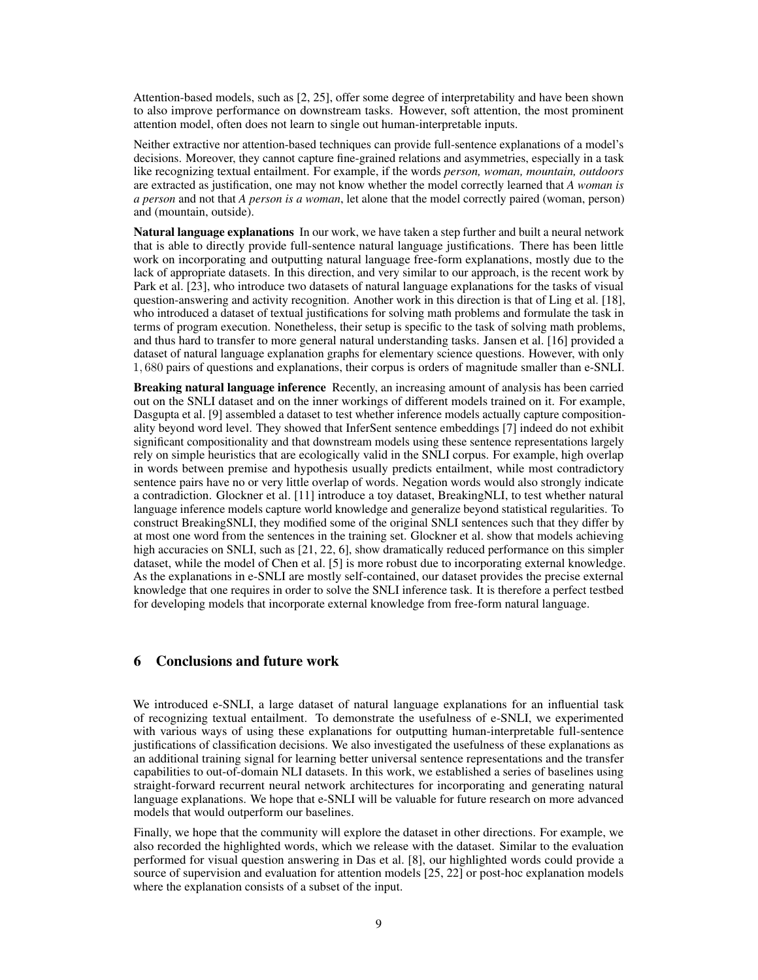Attention-based models, such as [2, 25], offer some degree of interpretability and have been shown to also improve performance on downstream tasks. However, soft attention, the most prominent attention model, often does not learn to single out human-interpretable inputs.

Neither extractive nor attention-based techniques can provide full-sentence explanations of a model's decisions. Moreover, they cannot capture fine-grained relations and asymmetries, especially in a task like recognizing textual entailment. For example, if the words *person, woman, mountain, outdoors* are extracted as justification, one may not know whether the model correctly learned that *A woman is a person* and not that *A person is a woman*, let alone that the model correctly paired (woman, person) and (mountain, outside).

Natural language explanations In our work, we have taken a step further and built a neural network that is able to directly provide full-sentence natural language justifications. There has been little work on incorporating and outputting natural language free-form explanations, mostly due to the lack of appropriate datasets. In this direction, and very similar to our approach, is the recent work by Park et al. [23], who introduce two datasets of natural language explanations for the tasks of visual question-answering and activity recognition. Another work in this direction is that of Ling et al. [18], who introduced a dataset of textual justifications for solving math problems and formulate the task in terms of program execution. Nonetheless, their setup is specific to the task of solving math problems, and thus hard to transfer to more general natural understanding tasks. Jansen et al. [16] provided a dataset of natural language explanation graphs for elementary science questions. However, with only 1, 680 pairs of questions and explanations, their corpus is orders of magnitude smaller than e-SNLI.

Breaking natural language inference Recently, an increasing amount of analysis has been carried out on the SNLI dataset and on the inner workings of different models trained on it. For example, Dasgupta et al. [9] assembled a dataset to test whether inference models actually capture compositionality beyond word level. They showed that InferSent sentence embeddings [7] indeed do not exhibit significant compositionality and that downstream models using these sentence representations largely rely on simple heuristics that are ecologically valid in the SNLI corpus. For example, high overlap in words between premise and hypothesis usually predicts entailment, while most contradictory sentence pairs have no or very little overlap of words. Negation words would also strongly indicate a contradiction. Glockner et al. [11] introduce a toy dataset, BreakingNLI, to test whether natural language inference models capture world knowledge and generalize beyond statistical regularities. To construct BreakingSNLI, they modified some of the original SNLI sentences such that they differ by at most one word from the sentences in the training set. Glockner et al. show that models achieving high accuracies on SNLI, such as [21, 22, 6], show dramatically reduced performance on this simpler dataset, while the model of Chen et al. [5] is more robust due to incorporating external knowledge. As the explanations in e-SNLI are mostly self-contained, our dataset provides the precise external knowledge that one requires in order to solve the SNLI inference task. It is therefore a perfect testbed for developing models that incorporate external knowledge from free-form natural language.

## 6 Conclusions and future work

We introduced e-SNLI, a large dataset of natural language explanations for an influential task of recognizing textual entailment. To demonstrate the usefulness of e-SNLI, we experimented with various ways of using these explanations for outputting human-interpretable full-sentence justifications of classification decisions. We also investigated the usefulness of these explanations as an additional training signal for learning better universal sentence representations and the transfer capabilities to out-of-domain NLI datasets. In this work, we established a series of baselines using straight-forward recurrent neural network architectures for incorporating and generating natural language explanations. We hope that e-SNLI will be valuable for future research on more advanced models that would outperform our baselines.

Finally, we hope that the community will explore the dataset in other directions. For example, we also recorded the highlighted words, which we release with the dataset. Similar to the evaluation performed for visual question answering in Das et al. [8], our highlighted words could provide a source of supervision and evaluation for attention models [25, 22] or post-hoc explanation models where the explanation consists of a subset of the input.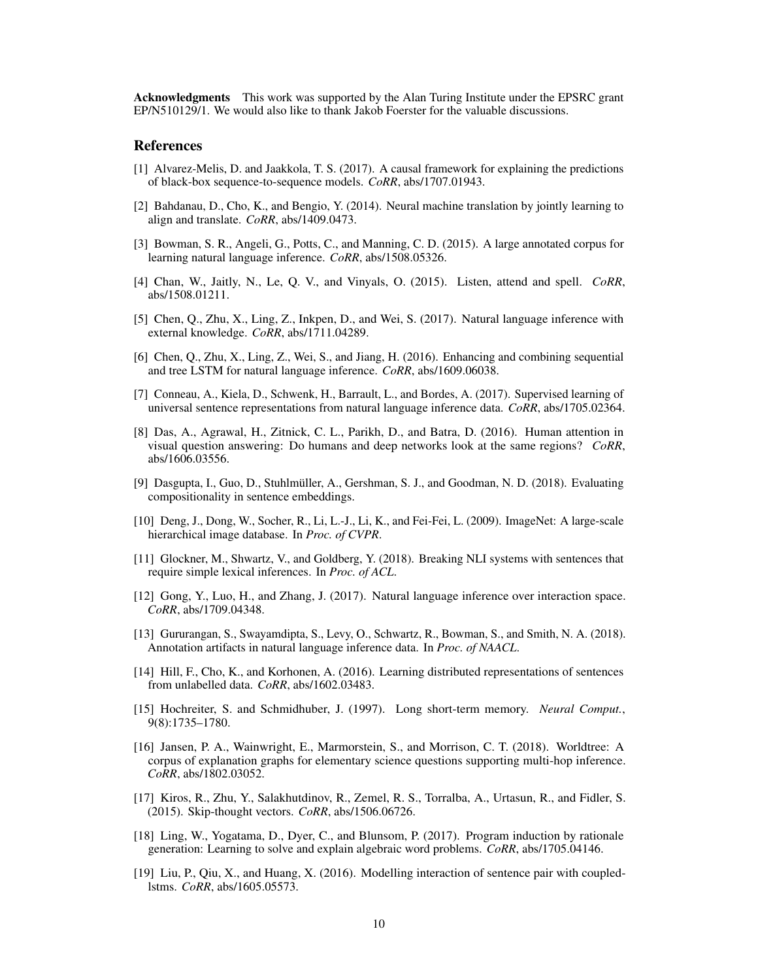Acknowledgments This work was supported by the Alan Turing Institute under the EPSRC grant EP/N510129/1. We would also like to thank Jakob Foerster for the valuable discussions.

#### References

- [1] Alvarez-Melis, D. and Jaakkola, T. S. (2017). A causal framework for explaining the predictions of black-box sequence-to-sequence models. *CoRR*, abs/1707.01943.
- [2] Bahdanau, D., Cho, K., and Bengio, Y. (2014). Neural machine translation by jointly learning to align and translate. *CoRR*, abs/1409.0473.
- [3] Bowman, S. R., Angeli, G., Potts, C., and Manning, C. D. (2015). A large annotated corpus for learning natural language inference. *CoRR*, abs/1508.05326.
- [4] Chan, W., Jaitly, N., Le, Q. V., and Vinyals, O. (2015). Listen, attend and spell. *CoRR*, abs/1508.01211.
- [5] Chen, Q., Zhu, X., Ling, Z., Inkpen, D., and Wei, S. (2017). Natural language inference with external knowledge. *CoRR*, abs/1711.04289.
- [6] Chen, Q., Zhu, X., Ling, Z., Wei, S., and Jiang, H. (2016). Enhancing and combining sequential and tree LSTM for natural language inference. *CoRR*, abs/1609.06038.
- [7] Conneau, A., Kiela, D., Schwenk, H., Barrault, L., and Bordes, A. (2017). Supervised learning of universal sentence representations from natural language inference data. *CoRR*, abs/1705.02364.
- [8] Das, A., Agrawal, H., Zitnick, C. L., Parikh, D., and Batra, D. (2016). Human attention in visual question answering: Do humans and deep networks look at the same regions? *CoRR*, abs/1606.03556.
- [9] Dasgupta, I., Guo, D., Stuhlmüller, A., Gershman, S. J., and Goodman, N. D. (2018). Evaluating compositionality in sentence embeddings.
- [10] Deng, J., Dong, W., Socher, R., Li, L.-J., Li, K., and Fei-Fei, L. (2009). ImageNet: A large-scale hierarchical image database. In *Proc. of CVPR*.
- [11] Glockner, M., Shwartz, V., and Goldberg, Y. (2018). Breaking NLI systems with sentences that require simple lexical inferences. In *Proc. of ACL*.
- [12] Gong, Y., Luo, H., and Zhang, J. (2017). Natural language inference over interaction space. *CoRR*, abs/1709.04348.
- [13] Gururangan, S., Swayamdipta, S., Levy, O., Schwartz, R., Bowman, S., and Smith, N. A. (2018). Annotation artifacts in natural language inference data. In *Proc. of NAACL*.
- [14] Hill, F., Cho, K., and Korhonen, A. (2016). Learning distributed representations of sentences from unlabelled data. *CoRR*, abs/1602.03483.
- [15] Hochreiter, S. and Schmidhuber, J. (1997). Long short-term memory. *Neural Comput.*, 9(8):1735–1780.
- [16] Jansen, P. A., Wainwright, E., Marmorstein, S., and Morrison, C. T. (2018). Worldtree: A corpus of explanation graphs for elementary science questions supporting multi-hop inference. *CoRR*, abs/1802.03052.
- [17] Kiros, R., Zhu, Y., Salakhutdinov, R., Zemel, R. S., Torralba, A., Urtasun, R., and Fidler, S. (2015). Skip-thought vectors. *CoRR*, abs/1506.06726.
- [18] Ling, W., Yogatama, D., Dyer, C., and Blunsom, P. (2017). Program induction by rationale generation: Learning to solve and explain algebraic word problems. *CoRR*, abs/1705.04146.
- [19] Liu, P., Qiu, X., and Huang, X. (2016). Modelling interaction of sentence pair with coupledlstms. *CoRR*, abs/1605.05573.